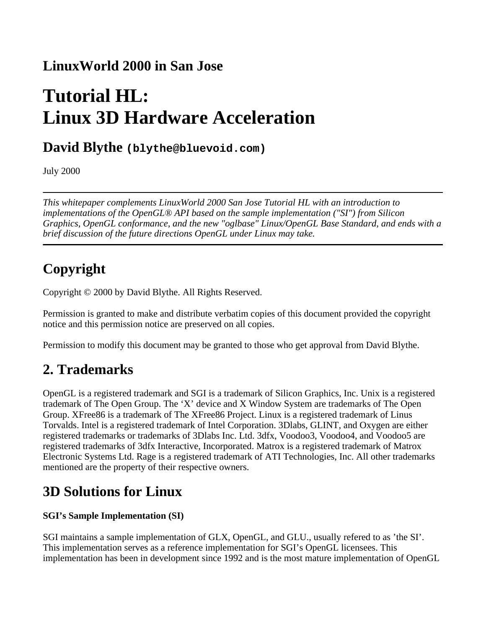### **LinuxWorld 2000 in San Jose**

# **Tutorial HL: Linux 3D Hardware Acceleration**

### **David Blythe (blythe@bluevoid.com)**

July 2000

*This whitepaper complements LinuxWorld 2000 San Jose Tutorial HL with an introduction to implementations of the OpenGL® API based on the sample implementation ("SI") from Silicon Graphics, OpenGL conformance, and the new "oglbase" Linux/OpenGL Base Standard, and ends with a brief discussion of the future directions OpenGL under Linux may take.* 

# **Copyright**

Copyright © 2000 by David Blythe. All Rights Reserved.

Permission is granted to make and distribute verbatim copies of this document provided the copyright notice and this permission notice are preserved on all copies.

Permission to modify this document may be granted to those who get approval from David Blythe.

## **2. Trademarks**

OpenGL is a registered trademark and SGI is a trademark of Silicon Graphics, Inc. Unix is a registered trademark of The Open Group. The 'X' device and X Window System are trademarks of The Open Group. XFree86 is a trademark of The XFree86 Project. Linux is a registered trademark of Linus Torvalds. Intel is a registered trademark of Intel Corporation. 3Dlabs, GLINT, and Oxygen are either registered trademarks or trademarks of 3Dlabs Inc. Ltd. 3dfx, Voodoo3, Voodoo4, and Voodoo5 are registered trademarks of 3dfx Interactive, Incorporated. Matrox is a registered trademark of Matrox Electronic Systems Ltd. Rage is a registered trademark of ATI Technologies, Inc. All other trademarks mentioned are the property of their respective owners.

## **3D Solutions for Linux**

#### **SGI's Sample Implementation (SI)**

SGI maintains a sample implementation of GLX, OpenGL, and GLU., usually refered to as 'the SI'. This implementation serves as a reference implementation for SGI's OpenGL licensees. This implementation has been in development since 1992 and is the most mature implementation of OpenGL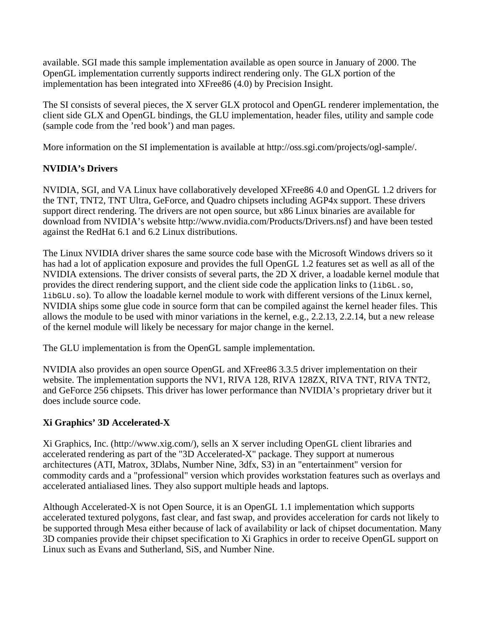available. SGI made this sample implementation available as open source in January of 2000. The OpenGL implementation currently supports indirect rendering only. The GLX portion of the implementation has been integrated into XFree86 (4.0) by Precision Insight.

The SI consists of several pieces, the X server GLX protocol and OpenGL renderer implementation, the client side GLX and OpenGL bindings, the GLU implementation, header files, utility and sample code (sample code from the 'red book') and man pages.

More information on the SI implementation is available at http://oss.sgi.com/projects/ogl-sample/.

#### **NVIDIA's Drivers**

NVIDIA, SGI, and VA Linux have collaboratively developed XFree86 4.0 and OpenGL 1.2 drivers for the TNT, TNT2, TNT Ultra, GeForce, and Quadro chipsets including AGP4x support. These drivers support direct rendering. The drivers are not open source, but x86 Linux binaries are available for download from NVIDIA's website http://www.nvidia.com/Products/Drivers.nsf) and have been tested against the RedHat 6.1 and 6.2 Linux distributions.

The Linux NVIDIA driver shares the same source code base with the Microsoft Windows drivers so it has had a lot of application exposure and provides the full OpenGL 1.2 features set as well as all of the NVIDIA extensions. The driver consists of several parts, the 2D X driver, a loadable kernel module that provides the direct rendering support, and the client side code the application links to (libGL.so, libGLU.so). To allow the loadable kernel module to work with different versions of the Linux kernel, NVIDIA ships some glue code in source form that can be compiled against the kernel header files. This allows the module to be used with minor variations in the kernel, e.g., 2.2.13, 2.2.14, but a new release of the kernel module will likely be necessary for major change in the kernel.

The GLU implementation is from the OpenGL sample implementation.

NVIDIA also provides an open source OpenGL and XFree86 3.3.5 driver implementation on their website. The implementation supports the NV1, RIVA 128, RIVA 128ZX, RIVA TNT, RIVA TNT2, and GeForce 256 chipsets. This driver has lower performance than NVIDIA's proprietary driver but it does include source code.

#### **Xi Graphics' 3D Accelerated-X**

Xi Graphics, Inc. (http://www.xig.com/), sells an X server including OpenGL client libraries and accelerated rendering as part of the "3D Accelerated-X" package. They support at numerous architectures (ATI, Matrox, 3Dlabs, Number Nine, 3dfx, S3) in an "entertainment" version for commodity cards and a "professional" version which provides workstation features such as overlays and accelerated antialiased lines. They also support multiple heads and laptops.

Although Accelerated-X is not Open Source, it is an OpenGL 1.1 implementation which supports accelerated textured polygons, fast clear, and fast swap, and provides acceleration for cards not likely to be supported through Mesa either because of lack of availability or lack of chipset documentation. Many 3D companies provide their chipset specification to Xi Graphics in order to receive OpenGL support on Linux such as Evans and Sutherland, SiS, and Number Nine.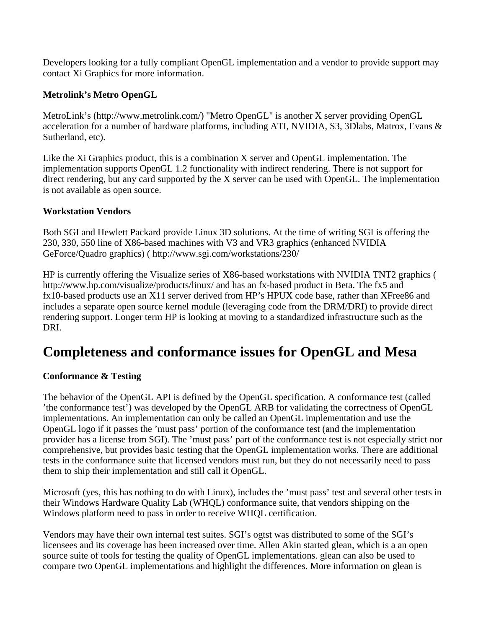Developers looking for a fully compliant OpenGL implementation and a vendor to provide support may contact Xi Graphics for more information.

#### **Metrolink's Metro OpenGL**

MetroLink's (http://www.metrolink.com/) "Metro OpenGL" is another X server providing OpenGL acceleration for a number of hardware platforms, including ATI, NVIDIA, S3, 3Dlabs, Matrox, Evans & Sutherland, etc).

Like the Xi Graphics product, this is a combination X server and OpenGL implementation. The implementation supports OpenGL 1.2 functionality with indirect rendering. There is not support for direct rendering, but any card supported by the X server can be used with OpenGL. The implementation is not available as open source.

#### **Workstation Vendors**

Both SGI and Hewlett Packard provide Linux 3D solutions. At the time of writing SGI is offering the 230, 330, 550 line of X86-based machines with V3 and VR3 graphics (enhanced NVIDIA GeForce/Quadro graphics) ( http://www.sgi.com/workstations/230/

HP is currently offering the Visualize series of X86-based workstations with NVIDIA TNT2 graphics ( http://www.hp.com/visualize/products/linux/ and has an fx-based product in Beta. The fx5 and fx10-based products use an X11 server derived from HP's HPUX code base, rather than XFree86 and includes a separate open source kernel module (leveraging code from the DRM/DRI) to provide direct rendering support. Longer term HP is looking at moving to a standardized infrastructure such as the DRI.

### **Completeness and conformance issues for OpenGL and Mesa**

#### **Conformance & Testing**

The behavior of the OpenGL API is defined by the OpenGL specification. A conformance test (called 'the conformance test') was developed by the OpenGL ARB for validating the correctness of OpenGL implementations. An implementation can only be called an OpenGL implementation and use the OpenGL logo if it passes the 'must pass' portion of the conformance test (and the implementation provider has a license from SGI). The 'must pass' part of the conformance test is not especially strict nor comprehensive, but provides basic testing that the OpenGL implementation works. There are additional tests in the conformance suite that licensed vendors must run, but they do not necessarily need to pass them to ship their implementation and still call it OpenGL.

Microsoft (yes, this has nothing to do with Linux), includes the 'must pass' test and several other tests in their Windows Hardware Quality Lab (WHQL) conformance suite, that vendors shipping on the Windows platform need to pass in order to receive WHQL certification.

Vendors may have their own internal test suites. SGI's ogtst was distributed to some of the SGI's licensees and its coverage has been increased over time. Allen Akin started glean, which is a an open source suite of tools for testing the quality of OpenGL implementations. glean can also be used to compare two OpenGL implementations and highlight the differences. More information on glean is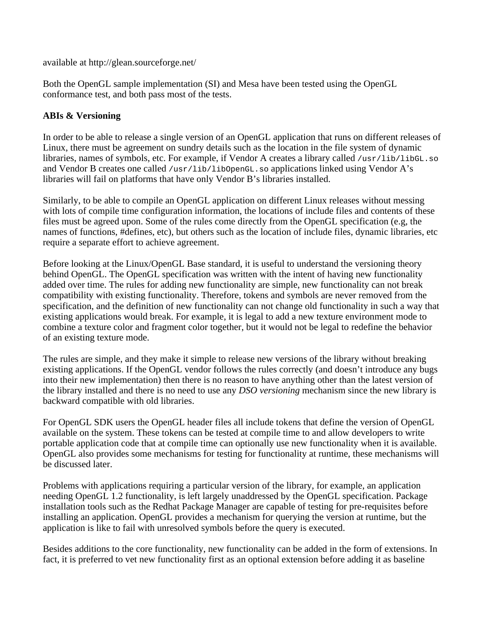available at http://glean.sourceforge.net/

Both the OpenGL sample implementation (SI) and Mesa have been tested using the OpenGL conformance test, and both pass most of the tests.

#### **ABIs & Versioning**

In order to be able to release a single version of an OpenGL application that runs on different releases of Linux, there must be agreement on sundry details such as the location in the file system of dynamic libraries, names of symbols, etc. For example, if Vendor A creates a library called /usr/lib/libGL.so and Vendor B creates one called /usr/lib/libOpenGL.so applications linked using Vendor A's libraries will fail on platforms that have only Vendor B's libraries installed.

Similarly, to be able to compile an OpenGL application on different Linux releases without messing with lots of compile time configuration information, the locations of include files and contents of these files must be agreed upon. Some of the rules come directly from the OpenGL specification (e.g, the names of functions, #defines, etc), but others such as the location of include files, dynamic libraries, etc require a separate effort to achieve agreement.

Before looking at the Linux/OpenGL Base standard, it is useful to understand the versioning theory behind OpenGL. The OpenGL specification was written with the intent of having new functionality added over time. The rules for adding new functionality are simple, new functionality can not break compatibility with existing functionality. Therefore, tokens and symbols are never removed from the specification, and the definition of new functionality can not change old functionality in such a way that existing applications would break. For example, it is legal to add a new texture environment mode to combine a texture color and fragment color together, but it would not be legal to redefine the behavior of an existing texture mode.

The rules are simple, and they make it simple to release new versions of the library without breaking existing applications. If the OpenGL vendor follows the rules correctly (and doesn't introduce any bugs into their new implementation) then there is no reason to have anything other than the latest version of the library installed and there is no need to use any *DSO versioning* mechanism since the new library is backward compatible with old libraries.

For OpenGL SDK users the OpenGL header files all include tokens that define the version of OpenGL available on the system. These tokens can be tested at compile time to and allow developers to write portable application code that at compile time can optionally use new functionality when it is available. OpenGL also provides some mechanisms for testing for functionality at runtime, these mechanisms will be discussed later.

Problems with applications requiring a particular version of the library, for example, an application needing OpenGL 1.2 functionality, is left largely unaddressed by the OpenGL specification. Package installation tools such as the Redhat Package Manager are capable of testing for pre-requisites before installing an application. OpenGL provides a mechanism for querying the version at runtime, but the application is like to fail with unresolved symbols before the query is executed.

Besides additions to the core functionality, new functionality can be added in the form of extensions. In fact, it is preferred to vet new functionality first as an optional extension before adding it as baseline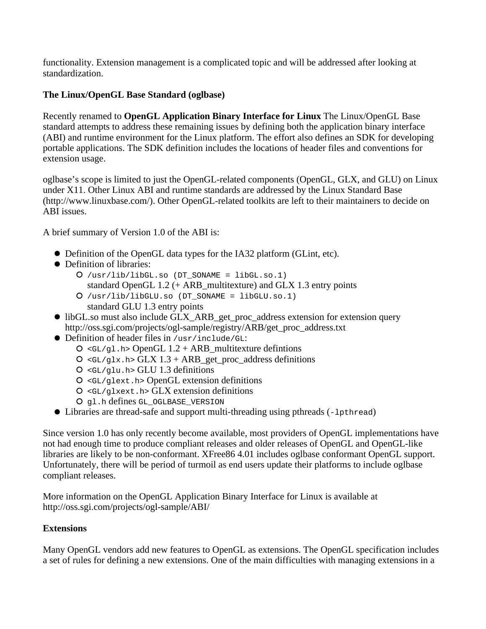functionality. Extension management is a complicated topic and will be addressed after looking at standardization.

#### **The Linux/OpenGL Base Standard (oglbase)**

Recently renamed to **OpenGL Application Binary Interface for Linux** The Linux/OpenGL Base standard attempts to address these remaining issues by defining both the application binary interface (ABI) and runtime environment for the Linux platform. The effort also defines an SDK for developing portable applications. The SDK definition includes the locations of header files and conventions for extension usage.

oglbase's scope is limited to just the OpenGL-related components (OpenGL, GLX, and GLU) on Linux under X11. Other Linux ABI and runtime standards are addressed by the Linux Standard Base (http://www.linuxbase.com/). Other OpenGL-related toolkits are left to their maintainers to decide on ABI issues.

A brief summary of Version 1.0 of the ABI is:

- Definition of the OpenGL data types for the IA32 platform (GLint, etc).
- Definition of libraries:
	- /usr/lib/libGL.so (DT\_SONAME = libGL.so.1)
	- standard OpenGL 1.2 (+ ARB\_multitexture) and GLX 1.3 entry points  $O$  /usr/lib/libGLU.so (DT SONAME = libGLU.so.1)
		- standard GLU 1.3 entry points
- libGL.so must also include GLX\_ARB\_get\_proc\_address extension for extension query http://oss.sgi.com/projects/ogl-sample/registry/ARB/get\_proc\_address.txt
- Definition of header files in /usr/include/GL:
	- $O \leq GL/g1$ .h> OpenGL 1.2 + ARB\_multitexture defintions
	- $Q \leq GL/glx.h > GLX 1.3 + ARB get proc_{address definitions}$
	- $O \leq GL/qlu.h > GLU 1.3$  definitions
	- <GL/glext.h> OpenGL extension definitions
	- $O \leq GL/d$ lxext.h> GLX extension definitions
	- O ql.h defines GL\_OGLBASE\_VERSION
- Libraries are thread-safe and support multi-threading using pthreads (-lpthread)

Since version 1.0 has only recently become available, most providers of OpenGL implementations have not had enough time to produce compliant releases and older releases of OpenGL and OpenGL-like libraries are likely to be non-conformant. XFree86 4.01 includes oglbase conformant OpenGL support. Unfortunately, there will be period of turmoil as end users update their platforms to include oglbase compliant releases.

More information on the OpenGL Application Binary Interface for Linux is available at http://oss.sgi.com/projects/ogl-sample/ABI/

#### **Extensions**

Many OpenGL vendors add new features to OpenGL as extensions. The OpenGL specification includes a set of rules for defining a new extensions. One of the main difficulties with managing extensions in a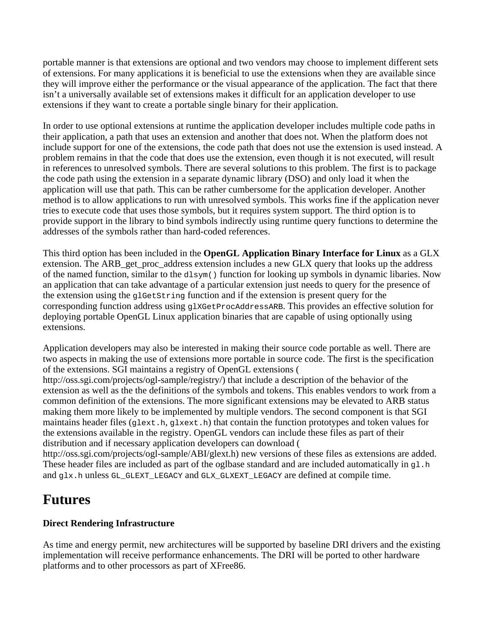portable manner is that extensions are optional and two vendors may choose to implement different sets of extensions. For many applications it is beneficial to use the extensions when they are available since they will improve either the performance or the visual appearance of the application. The fact that there isn't a universally available set of extensions makes it difficult for an application developer to use extensions if they want to create a portable single binary for their application.

In order to use optional extensions at runtime the application developer includes multiple code paths in their application, a path that uses an extension and another that does not. When the platform does not include support for one of the extensions, the code path that does not use the extension is used instead. A problem remains in that the code that does use the extension, even though it is not executed, will result in references to unresolved symbols. There are several solutions to this problem. The first is to package the code path using the extension in a separate dynamic library (DSO) and only load it when the application will use that path. This can be rather cumbersome for the application developer. Another method is to allow applications to run with unresolved symbols. This works fine if the application never tries to execute code that uses those symbols, but it requires system support. The third option is to provide support in the library to bind symbols indirectly using runtime query functions to determine the addresses of the symbols rather than hard-coded references.

This third option has been included in the **OpenGL Application Binary Interface for Linux** as a GLX extension. The ARB get proc address extension includes a new GLX query that looks up the address of the named function, similar to the dlsym() function for looking up symbols in dynamic libaries. Now an application that can take advantage of a particular extension just needs to query for the presence of the extension using the  $q$ lGetString function and if the extension is present query for the corresponding function address using glXGetProcAddressARB. This provides an effective solution for deploying portable OpenGL Linux application binaries that are capable of using optionally using extensions.

Application developers may also be interested in making their source code portable as well. There are two aspects in making the use of extensions more portable in source code. The first is the specification of the extensions. SGI maintains a registry of OpenGL extensions ( http://oss.sgi.com/projects/ogl-sample/registry/) that include a description of the behavior of the extension as well as the the definitions of the symbols and tokens. This enables vendors to work from a common definition of the extensions. The more significant extensions may be elevated to ARB status making them more likely to be implemented by multiple vendors. The second component is that SGI maintains header files (glext.h, glxext.h) that contain the function prototypes and token values for the extensions available in the registry. OpenGL vendors can include these files as part of their distribution and if necessary application developers can download (

http://oss.sgi.com/projects/ogl-sample/ABI/glext.h) new versions of these files as extensions are added. These header files are included as part of the oglbase standard and are included automatically in q1. h and glx.h unless GL\_GLEXT\_LEGACY and GLX\_GLXEXT\_LEGACY are defined at compile time.

### **Futures**

#### **Direct Rendering Infrastructure**

As time and energy permit, new architectures will be supported by baseline DRI drivers and the existing implementation will receive performance enhancements. The DRI will be ported to other hardware platforms and to other processors as part of XFree86.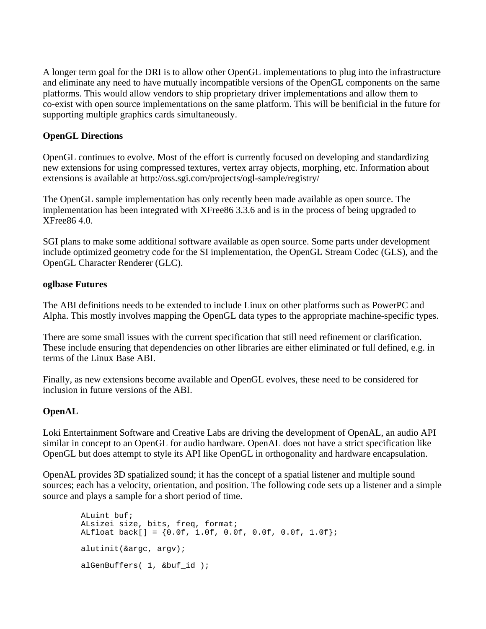A longer term goal for the DRI is to allow other OpenGL implementations to plug into the infrastructure and eliminate any need to have mutually incompatible versions of the OpenGL components on the same platforms. This would allow vendors to ship proprietary driver implementations and allow them to co-exist with open source implementations on the same platform. This will be benificial in the future for supporting multiple graphics cards simultaneously.

#### **OpenGL Directions**

OpenGL continues to evolve. Most of the effort is currently focused on developing and standardizing new extensions for using compressed textures, vertex array objects, morphing, etc. Information about extensions is available at http://oss.sgi.com/projects/ogl-sample/registry/

The OpenGL sample implementation has only recently been made available as open source. The implementation has been integrated with XFree86 3.3.6 and is in the process of being upgraded to XFree86 4.0.

SGI plans to make some additional software available as open source. Some parts under development include optimized geometry code for the SI implementation, the OpenGL Stream Codec (GLS), and the OpenGL Character Renderer (GLC).

#### **oglbase Futures**

The ABI definitions needs to be extended to include Linux on other platforms such as PowerPC and Alpha. This mostly involves mapping the OpenGL data types to the appropriate machine-specific types.

There are some small issues with the current specification that still need refinement or clarification. These include ensuring that dependencies on other libraries are either eliminated or full defined, e.g. in terms of the Linux Base ABI.

Finally, as new extensions become available and OpenGL evolves, these need to be considered for inclusion in future versions of the ABI.

#### **OpenAL**

Loki Entertainment Software and Creative Labs are driving the development of OpenAL, an audio API similar in concept to an OpenGL for audio hardware. OpenAL does not have a strict specification like OpenGL but does attempt to style its API like OpenGL in orthogonality and hardware encapsulation.

OpenAL provides 3D spatialized sound; it has the concept of a spatial listener and multiple sound sources; each has a velocity, orientation, and position. The following code sets up a listener and a simple source and plays a sample for a short period of time.

 ALuint buf; ALsizei size, bits, freq, format; ALfloat back[] = {0.0f, 1.0f, 0.0f, 0.0f, 0.0f, 1.0f}; alutinit(&argc, argv); alGenBuffers( 1, &buf\_id );